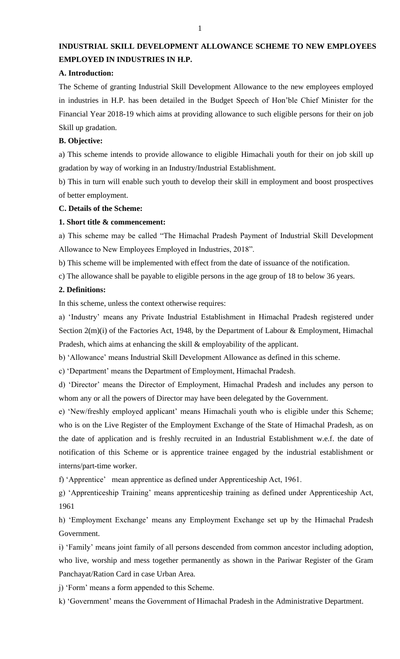## **INDUSTRIAL SKILL DEVELOPMENT ALLOWANCE SCHEME TO NEW EMPLOYEES EMPLOYED IN INDUSTRIES IN H.P.**

#### **A. Introduction:**

The Scheme of granting Industrial Skill Development Allowance to the new employees employed in industries in H.P. has been detailed in the Budget Speech of Hon'ble Chief Minister for the Financial Year 2018-19 which aims at providing allowance to such eligible persons for their on job Skill up gradation.

#### **B. Objective:**

a) This scheme intends to provide allowance to eligible Himachali youth for their on job skill up gradation by way of working in an Industry/Industrial Establishment.

b) This in turn will enable such youth to develop their skill in employment and boost prospectives of better employment.

#### **C. Details of the Scheme:**

#### **1. Short title & commencement:**

a) This scheme may be called "The Himachal Pradesh Payment of Industrial Skill Development Allowance to New Employees Employed in Industries, 2018".

b) This scheme will be implemented with effect from the date of issuance of the notification.

c) The allowance shall be payable to eligible persons in the age group of 18 to below 36 years.

#### **2. Definitions:**

In this scheme, unless the context otherwise requires:

a) 'Industry' means any Private Industrial Establishment in Himachal Pradesh registered under Section 2(m)(i) of the Factories Act, 1948, by the Department of Labour & Employment, Himachal Pradesh, which aims at enhancing the skill & employability of the applicant.

b) 'Allowance' means Industrial Skill Development Allowance as defined in this scheme.

c) 'Department' means the Department of Employment, Himachal Pradesh.

d) 'Director' means the Director of Employment, Himachal Pradesh and includes any person to whom any or all the powers of Director may have been delegated by the Government.

e) 'New/freshly employed applicant' means Himachali youth who is eligible under this Scheme; who is on the Live Register of the Employment Exchange of the State of Himachal Pradesh, as on the date of application and is freshly recruited in an Industrial Establishment w.e.f. the date of notification of this Scheme or is apprentice trainee engaged by the industrial establishment or interns/part-time worker.

f) 'Apprentice' mean apprentice as defined under Apprenticeship Act, 1961.

g) 'Apprenticeship Training' means apprenticeship training as defined under Apprenticeship Act, 1961

h) 'Employment Exchange' means any Employment Exchange set up by the Himachal Pradesh Government.

i) 'Family' means joint family of all persons descended from common ancestor including adoption, who live, worship and mess together permanently as shown in the Pariwar Register of the Gram Panchayat/Ration Card in case Urban Area.

j) 'Form' means a form appended to this Scheme.

k) 'Government' means the Government of Himachal Pradesh in the Administrative Department.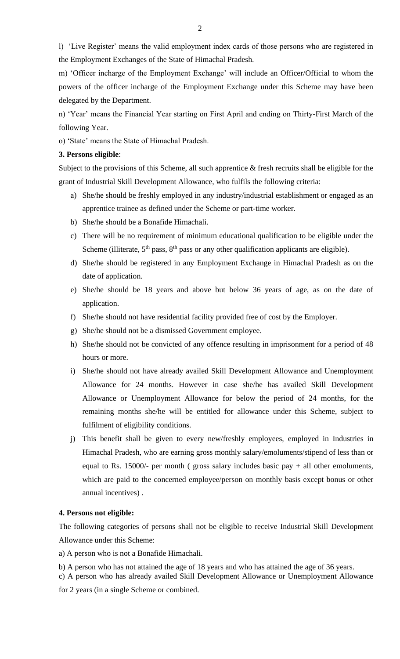l) 'Live Register' means the valid employment index cards of those persons who are registered in the Employment Exchanges of the State of Himachal Pradesh.

m) 'Officer incharge of the Employment Exchange' will include an Officer/Official to whom the powers of the officer incharge of the Employment Exchange under this Scheme may have been delegated by the Department.

n) 'Year' means the Financial Year starting on First April and ending on Thirty-First March of the following Year.

o) 'State' means the State of Himachal Pradesh.

#### **3. Persons eligible**:

Subject to the provisions of this Scheme, all such apprentice  $\&$  fresh recruits shall be eligible for the grant of Industrial Skill Development Allowance, who fulfils the following criteria:

- a) She/he should be freshly employed in any industry/industrial establishment or engaged as an apprentice trainee as defined under the Scheme or part-time worker.
- b) She/he should be a Bonafide Himachali.
- c) There will be no requirement of minimum educational qualification to be eligible under the Scheme (illiterate,  $5<sup>th</sup>$  pass,  $8<sup>th</sup>$  pass or any other qualification applicants are eligible).
- d) She/he should be registered in any Employment Exchange in Himachal Pradesh as on the date of application.
- e) She/he should be 18 years and above but below 36 years of age, as on the date of application.
- f) She/he should not have residential facility provided free of cost by the Employer.
- g) She/he should not be a dismissed Government employee.
- h) She/he should not be convicted of any offence resulting in imprisonment for a period of 48 hours or more.
- i) She/he should not have already availed Skill Development Allowance and Unemployment Allowance for 24 months. However in case she/he has availed Skill Development Allowance or Unemployment Allowance for below the period of 24 months, for the remaining months she/he will be entitled for allowance under this Scheme, subject to fulfilment of eligibility conditions.
- j) This benefit shall be given to every new/freshly employees, employed in Industries in Himachal Pradesh, who are earning gross monthly salary/emoluments/stipend of less than or equal to Rs. 15000/- per month (gross salary includes basic pay  $+$  all other emoluments, which are paid to the concerned employee/person on monthly basis except bonus or other annual incentives) .

#### **4. Persons not eligible:**

The following categories of persons shall not be eligible to receive Industrial Skill Development Allowance under this Scheme:

a) A person who is not a Bonafide Himachali.

b) A person who has not attained the age of 18 years and who has attained the age of 36 years.

c) A person who has already availed Skill Development Allowance or Unemployment Allowance

for 2 years (in a single Scheme or combined.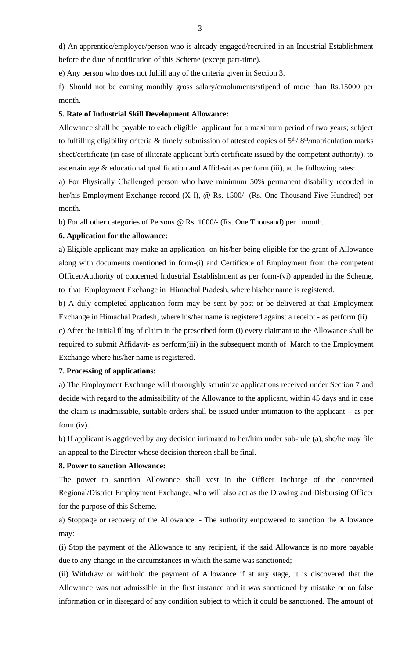d) An apprentice/employee/person who is already engaged/recruited in an Industrial Establishment before the date of notification of this Scheme (except part-time).

e) Any person who does not fulfill any of the criteria given in Section 3.

f). Should not be earning monthly gross salary/emoluments/stipend of more than Rs.15000 per month.

#### **5. Rate of Industrial Skill Development Allowance:**

Allowance shall be payable to each eligible applicant for a maximum period of two years; subject to fulfilling eligibility criteria & timely submission of attested copies of  $5<sup>th</sup>/ 8<sup>th</sup>/matriculation marks$ sheet/certificate (in case of illiterate applicant birth certificate issued by the competent authority), to ascertain age & educational qualification and Affidavit as per form (iii), at the following rates:

a) For Physically Challenged person who have minimum 50% permanent disability recorded in her/his Employment Exchange record (X-I), @ Rs. 1500/- (Rs. One Thousand Five Hundred) per month.

b) For all other categories of Persons @ Rs. 1000/- (Rs. One Thousand) per month.

#### **6. Application for the allowance:**

a) Eligible applicant may make an application on his/her being eligible for the grant of Allowance along with documents mentioned in form-(i) and Certificate of Employment from the competent Officer/Authority of concerned Industrial Establishment as per form-(vi) appended in the Scheme, to that Employment Exchange in Himachal Pradesh, where his/her name is registered.

b) A duly completed application form may be sent by post or be delivered at that Employment Exchange in Himachal Pradesh, where his/her name is registered against a receipt - as perform (ii).

c) After the initial filing of claim in the prescribed form (i) every claimant to the Allowance shall be required to submit Affidavit- as perform(iii) in the subsequent month of March to the Employment Exchange where his/her name is registered.

#### **7. Processing of applications:**

a) The Employment Exchange will thoroughly scrutinize applications received under Section 7 and decide with regard to the admissibility of the Allowance to the applicant, within 45 days and in case the claim is inadmissible, suitable orders shall be issued under intimation to the applicant – as per form (iv).

b) If applicant is aggrieved by any decision intimated to her/him under sub-rule (a), she/he may file an appeal to the Director whose decision thereon shall be final.

#### **8. Power to sanction Allowance:**

The power to sanction Allowance shall vest in the Officer Incharge of the concerned Regional/District Employment Exchange, who will also act as the Drawing and Disbursing Officer for the purpose of this Scheme.

a) Stoppage or recovery of the Allowance: - The authority empowered to sanction the Allowance may:

(i) Stop the payment of the Allowance to any recipient, if the said Allowance is no more payable due to any change in the circumstances in which the same was sanctioned;

(ii) Withdraw or withhold the payment of Allowance if at any stage, it is discovered that the Allowance was not admissible in the first instance and it was sanctioned by mistake or on false information or in disregard of any condition subject to which it could be sanctioned. The amount of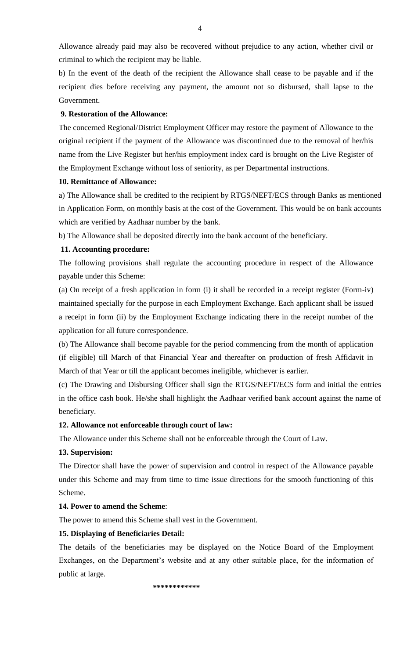Allowance already paid may also be recovered without prejudice to any action, whether civil or criminal to which the recipient may be liable.

b) In the event of the death of the recipient the Allowance shall cease to be payable and if the recipient dies before receiving any payment, the amount not so disbursed, shall lapse to the Government.

#### **9. Restoration of the Allowance:**

The concerned Regional/District Employment Officer may restore the payment of Allowance to the original recipient if the payment of the Allowance was discontinued due to the removal of her/his name from the Live Register but her/his employment index card is brought on the Live Register of the Employment Exchange without loss of seniority, as per Departmental instructions.

#### **10. Remittance of Allowance:**

a) The Allowance shall be credited to the recipient by RTGS/NEFT/ECS through Banks as mentioned in Application Form, on monthly basis at the cost of the Government. This would be on bank accounts which are verified by Aadhaar number by the bank.

b) The Allowance shall be deposited directly into the bank account of the beneficiary.

#### **11. Accounting procedure:**

The following provisions shall regulate the accounting procedure in respect of the Allowance payable under this Scheme:

(a) On receipt of a fresh application in form (i) it shall be recorded in a receipt register (Form-iv) maintained specially for the purpose in each Employment Exchange. Each applicant shall be issued a receipt in form (ii) by the Employment Exchange indicating there in the receipt number of the application for all future correspondence.

(b) The Allowance shall become payable for the period commencing from the month of application (if eligible) till March of that Financial Year and thereafter on production of fresh Affidavit in March of that Year or till the applicant becomes ineligible, whichever is earlier.

(c) The Drawing and Disbursing Officer shall sign the RTGS/NEFT/ECS form and initial the entries in the office cash book. He/she shall highlight the Aadhaar verified bank account against the name of beneficiary.

#### **12. Allowance not enforceable through court of law:**

The Allowance under this Scheme shall not be enforceable through the Court of Law.

#### **13. Supervision:**

The Director shall have the power of supervision and control in respect of the Allowance payable under this Scheme and may from time to time issue directions for the smooth functioning of this Scheme.

#### **14. Power to amend the Scheme**:

The power to amend this Scheme shall vest in the Government.

#### **15. Displaying of Beneficiaries Detail:**

The details of the beneficiaries may be displayed on the Notice Board of the Employment Exchanges, on the Department's website and at any other suitable place, for the information of public at large.

 **\*\*\*\*\*\*\*\*\*\*\*\***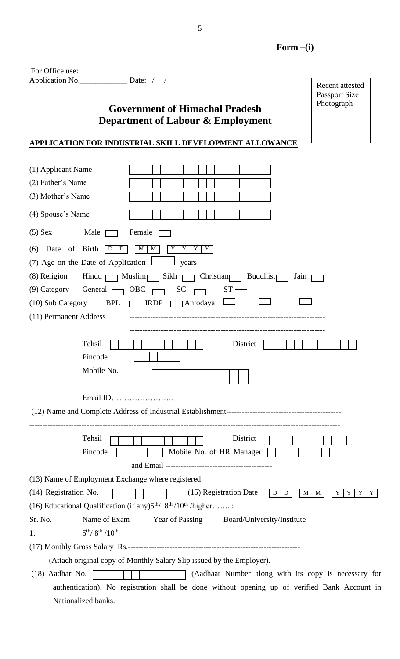Recent attested Passport Size Photograph

| For Office use: |                  |  |
|-----------------|------------------|--|
| Application No. | Date: $\sqrt{ }$ |  |

Nationalized banks.

# **Government of Himachal Pradesh Department of Labour & Employment**

# **APPLICATION FOR INDUSTRIAL SKILL DEVELOPMENT ALLOWANCE**

| (1) Applicant Name<br>(2) Father's Name<br>(3) Mother's Name<br>(4) Spouse's Name |                                                                                               |
|-----------------------------------------------------------------------------------|-----------------------------------------------------------------------------------------------|
|                                                                                   |                                                                                               |
| $(5)$ Sex                                                                         | Male $\Box$<br>Female                                                                         |
| (6) Date of Birth                                                                 | $\vert D$<br>D<br>M<br>Y<br>Y<br>Y<br>Y<br>M<br>(7) Age on the Date of Application<br>years   |
| (8) Religion                                                                      | Hindu $\Box$ Muslim $\Box$ Sikh $\Box$ Christian $\Box$ Buddhist<br>Jain p                    |
| $(9)$ Category                                                                    | General $\Box$ OBC $\Box$<br>$ST$ r<br>$SC \square$                                           |
| (10) Sub Category                                                                 | <b>BPL</b><br>$\Box$ IRDP<br>$\Box$ Antodaya                                                  |
| (11) Permanent Address                                                            |                                                                                               |
|                                                                                   | Tehsil<br>District<br>Pincode<br>Mobile No.                                                   |
|                                                                                   | Email ID                                                                                      |
|                                                                                   | District<br>Tehsil<br>Mobile No. of HR Manager<br>Pincode                                     |
|                                                                                   | (13) Name of Employment Exchange where registered                                             |
| (14) Registration No.                                                             | (15) Registration Date<br>D<br>M<br>Y<br>Y<br>Y<br>D<br>M<br>Y                                |
|                                                                                   | (16) Educational Qualification (if any) $5th / 8th / 10th / higher$                           |
| Sr. No.                                                                           | Name of Exam<br><b>Year of Passing</b><br>Board/University/Institute                          |
| 1.                                                                                | $5^{th}/8^{th}/10^{th}$                                                                       |
|                                                                                   |                                                                                               |
|                                                                                   | (Attach original copy of Monthly Salary Slip issued by the Employer).                         |
| $(18)$ Aadhar No.                                                                 | (Aadhaar Number along with its copy is necessary for                                          |
|                                                                                   | authentication). No registration shall be done without opening up of verified Bank Account in |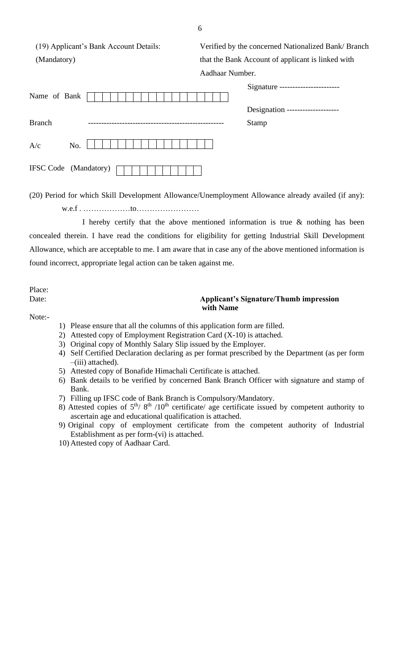(19) Applicant's Bank Account Details: Verified by the concerned Nationalized Bank/ Branch (Mandatory) that the Bank Account of applicant is linked with

|               |                              | Aadhaar Number. |  |                                   |  |  |
|---------------|------------------------------|-----------------|--|-----------------------------------|--|--|
| Name of Bank  |                              |                 |  | Signature ----------------------- |  |  |
|               |                              |                 |  | Designation --------------------  |  |  |
| <b>Branch</b> |                              |                 |  | Stamp                             |  |  |
| A/c           | No.                          |                 |  |                                   |  |  |
|               | <b>IFSC Code</b> (Mandatory) |                 |  |                                   |  |  |

(20) Period for which Skill Development Allowance/Unemployment Allowance already availed (if any):

w.e.f . ………………to……………………

I hereby certify that the above mentioned information is true  $\&$  nothing has been concealed therein. I have read the conditions for eligibility for getting Industrial Skill Development Allowance, which are acceptable to me. I am aware that in case any of the above mentioned information is found incorrect, appropriate legal action can be taken against me.

Place:

#### Date: **Applicant's Signature/Thumb impression with Name**

Note:-

- 1) Please ensure that all the columns of this application form are filled.
- 2) Attested copy of Employment Registration Card (X-10) is attached.
- 3) Original copy of Monthly Salary Slip issued by the Employer.
- 4) Self Certified Declaration declaring as per format prescribed by the Department (as per form –(iii) attached).
- 5) Attested copy of Bonafide Himachali Certificate is attached.
- 6) Bank details to be verified by concerned Bank Branch Officer with signature and stamp of Bank.
- 7) Filling up IFSC code of Bank Branch is Compulsory/Mandatory.
- 8) Attested copies of  $5<sup>th</sup>$  /8<sup>th</sup> /10<sup>th</sup> certificate/ age certificate issued by competent authority to ascertain age and educational qualification is attached.
- 9) Original copy of employment certificate from the competent authority of Industrial Establishment as per form-(vi) is attached.
- 10) Attested copy of Aadhaar Card.

6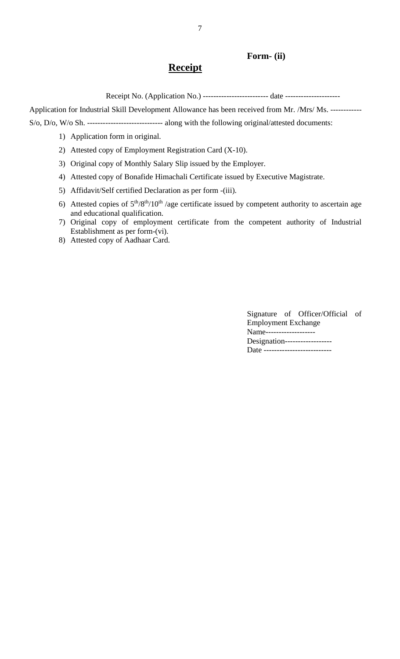#### **Form- (ii)**

## **Receipt**

Receipt No. (Application No.) ------------------------- date ---------------------

Application for Industrial Skill Development Allowance has been received from Mr. /Mrs/ Ms. ------------

S/o, D/o, W/o Sh. ----------------------------- along with the following original/attested documents:

- 1) Application form in original.
- 2) Attested copy of Employment Registration Card (X-10).
- 3) Original copy of Monthly Salary Slip issued by the Employer.
- 4) Attested copy of Bonafide Himachali Certificate issued by Executive Magistrate.
- 5) Affidavit/Self certified Declaration as per form -(iii).
- 6) Attested copies of  $5<sup>th</sup>/8<sup>th</sup>/10<sup>th</sup>$  /age certificate issued by competent authority to ascertain age and educational qualification.
- 7) Original copy of employment certificate from the competent authority of Industrial Establishment as per form-(vi).
- 8) Attested copy of Aadhaar Card.

Signature of Officer/Official of Employment Exchange Name------------------- Designation------------------ Date --------------------------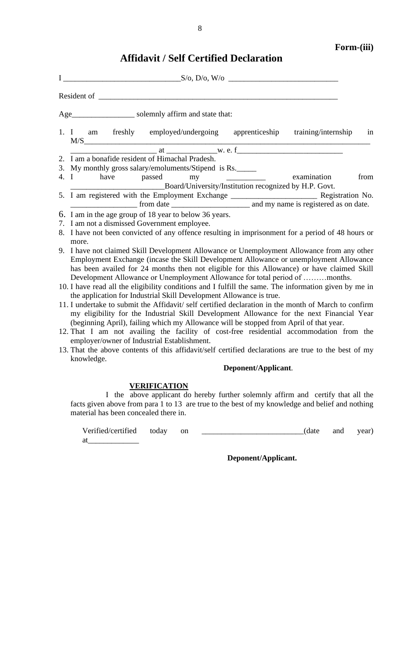# **Affidavit / Self Certified Declaration**

| Age_______________________ solemnly affirm and state that:                                            |
|-------------------------------------------------------------------------------------------------------|
| 1. I am freshly employed/undergoing apprenticeship training/internship<br>in<br>M/S                   |
|                                                                                                       |
| 2. I am a bonafide resident of Himachal Pradesh.                                                      |
| 3. My monthly gross salary/emoluments/Stipend is Rs.                                                  |
| 4. I have passed my <u>we have</u> examination<br>from                                                |
| Board/University/Institution recognized by H.P. Govt.                                                 |
| 5. I am registered with the Employment Exchange _________________________________ Registration No.    |
|                                                                                                       |
| 6. I am in the age group of 18 year to below 36 years.                                                |
| 7. I am not a dismissed Government employee.                                                          |
| 8. I have not been convicted of any offence resulting in imprisonment for a period of 48 hours or     |
| more.                                                                                                 |
| 9. I have not claimed Skill Development Allowance or Unemployment Allowance from any other            |
| Employment Exchange (incase the Skill Development Allowance or unemployment Allowance                 |
| has been availed for 24 months then not eligible for this Allowance) or have claimed Skill            |
| Development Allowance or Unemployment Allowance for total period of months.                           |
| 10. I have read all the eligibility conditions and I fulfill the same. The information given by me in |
| the application for Industrial Skill Development Allowance is true.                                   |
| 11. I undertake to submit the Affidavit/ self certified declaration in the month of March to confirm  |
| my eligibility for the Industrial Skill Development Allowance for the next Financial Year             |
| (beginning April), failing which my Allowance will be stopped from April of that year.                |
| 12. That I am not availing the facility of cost-free residential accommodation from the               |
| employer/owner of Industrial Establishment.                                                           |
| 13. That the above contents of this affidavit/self certified declarations are true to the best of my  |
| knowledge.                                                                                            |
| Deponent/Applicant.                                                                                   |

### **VERIFICATION**

I the above applicant do hereby further solemnly affirm and certify that all the facts given above from para 1 to 13 are true to the best of my knowledge and belief and nothing material has been concealed there in.

Verified/certified today on \_\_\_\_\_\_\_\_\_\_\_\_\_\_\_\_\_\_\_\_\_\_\_\_\_\_(date and year) at\_\_\_\_\_\_\_\_\_\_\_\_\_

 **Deponent/Applicant.**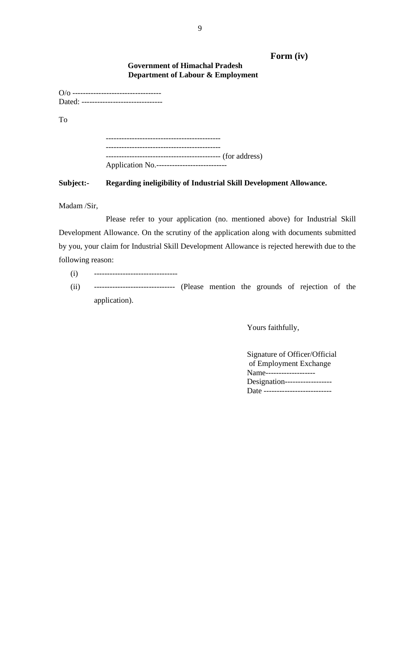#### **Form (iv)**

#### **Government of Himachal Pradesh Department of Labour & Employment**

| Dated: ------------------------------- |  |
|----------------------------------------|--|
| To                                     |  |
|                                        |  |

| ---------------- (for address)              |
|---------------------------------------------|
| Application No.---------------------------- |

#### **Subject:- Regarding ineligibility of Industrial Skill Development Allowance.**

Madam /Sir,

Please refer to your application (no. mentioned above) for Industrial Skill Development Allowance. On the scrutiny of the application along with documents submitted by you, your claim for Industrial Skill Development Allowance is rejected herewith due to the following reason:

- (i) --------------------------------
- (ii) ------------------------------- (Please mention the grounds of rejection of the application).

Yours faithfully,

Signature of Officer/Official of Employment Exchange Name-------------------Designation------------------ Date --------------------------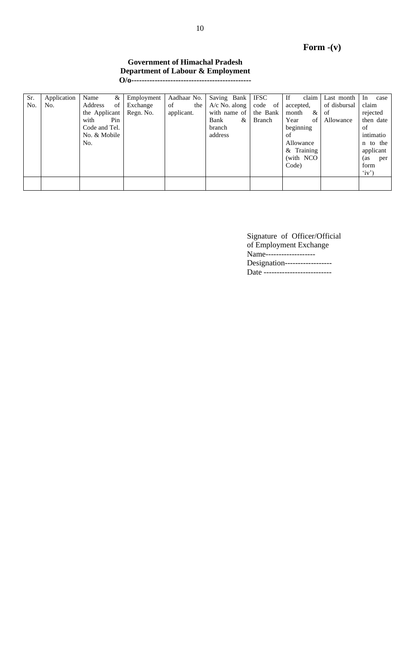# **Form -(v)**

#### **Government of Himachal Pradesh Department of Labour & Employment O/o----------------------------------------------**

| Sr. | Application | Name<br>&     | Employment | Aadhaar No. | Saving Bank     | <b>IFSC</b> | If            | claim   Last month | In<br>case |
|-----|-------------|---------------|------------|-------------|-----------------|-------------|---------------|--------------------|------------|
| No. | No.         | Address<br>of | Exchange   | of<br>the   | $A/c$ No. along | code of     | accepted,     | of disbursal       | claim      |
|     |             | the Applicant | Regn. No.  | applicant.  | with name of    | the Bank    | month<br>$\&$ | of                 | rejected   |
|     |             | with<br>Pin   |            |             | Bank<br>&       | Branch      | Year<br>of    | Allowance          | then date  |
|     |             | Code and Tel. |            |             | branch          |             | beginning     |                    | of         |
|     |             | No. & Mobile  |            |             | address         |             | of            |                    | intimatio  |
|     |             | No.           |            |             |                 |             | Allowance     |                    | n to the   |
|     |             |               |            |             |                 |             | $&$ Training  |                    | applicant  |
|     |             |               |            |             |                 |             | (with NCO)    |                    | (as<br>per |
|     |             |               |            |             |                 |             | Code)         |                    | form       |
|     |             |               |            |             |                 |             |               |                    | (iy')      |
|     |             |               |            |             |                 |             |               |                    |            |
|     |             |               |            |             |                 |             |               |                    |            |

Signature of Officer/Official of Employment Exchange Name-------------------Designation--------------------Date --------------------------